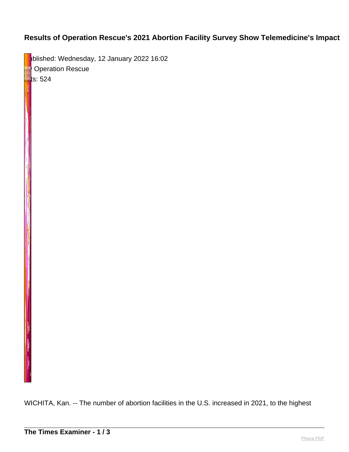## **Results of Operation Rescue's 2021 Abortion Facility Survey Show Telemedicine's Impact**

blished: Wednesday, 12 January 2022 16:02 **By Operation Rescue**  $\blacksquare$ ts: 524

WICHITA, Kan. -- The number of abortion facilities in the U.S. increased in 2021, to the highest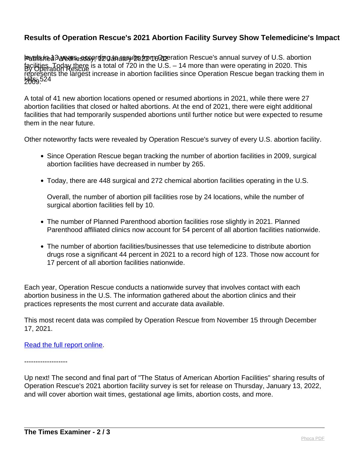## **Results of Operation Rescue's 2021 Abortion Facility Survey Show Telemedicine's Impact**

Published: Wealfe suay, 12 January 2022 16:02 By Operation Rescue **Hits** 524 levels in 13 years, according to results from Operation Rescue's annual survey of U.S. abortion facilities. Today there is a total of 720 in the U.S. – 14 more than were operating in 2020. This represents the largest increase in abortion facilities since Operation Rescue began tracking them in 2009.

A total of 41 new abortion locations opened or resumed abortions in 2021, while there were 27 abortion facilities that closed or halted abortions. At the end of 2021, there were eight additional facilities that had temporarily suspended abortions until further notice but were expected to resume them in the near future.

Other noteworthy facts were revealed by Operation Rescue's survey of every U.S. abortion facility.

- Since Operation Rescue began tracking the number of abortion facilities in 2009, surgical abortion facilities have decreased in number by 265.
- Today, there are 448 surgical and 272 chemical abortion facilities operating in the U.S.

Overall, the number of abortion pill facilities rose by 24 locations, while the number of surgical abortion facilities fell by 10.

- The number of Planned Parenthood abortion facilities rose slightly in 2021. Planned Parenthood affiliated clinics now account for 54 percent of all abortion facilities nationwide.
- The number of abortion facilities/businesses that use telemedicine to distribute abortion drugs rose a significant 44 percent in 2021 to a record high of 123. Those now account for 17 percent of all abortion facilities nationwide.

Each year, Operation Rescue conducts a nationwide survey that involves contact with each abortion business in the U.S. The information gathered about the abortion clinics and their practices represents the most current and accurate data available.

This most recent data was compiled by Operation Rescue from November 15 through December 17, 2021.

## [Read the full report online.](https://www.operationrescue.org/archives/the-status-of-american-abortion-facilities-telemedicines-impact-in-2021/)

-------------------

Up next! The second and final part of "The Status of American Abortion Facilities" sharing results of Operation Rescue's 2021 abortion facility survey is set for release on Thursday, January 13, 2022, and will cover abortion wait times, gestational age limits, abortion costs, and more.